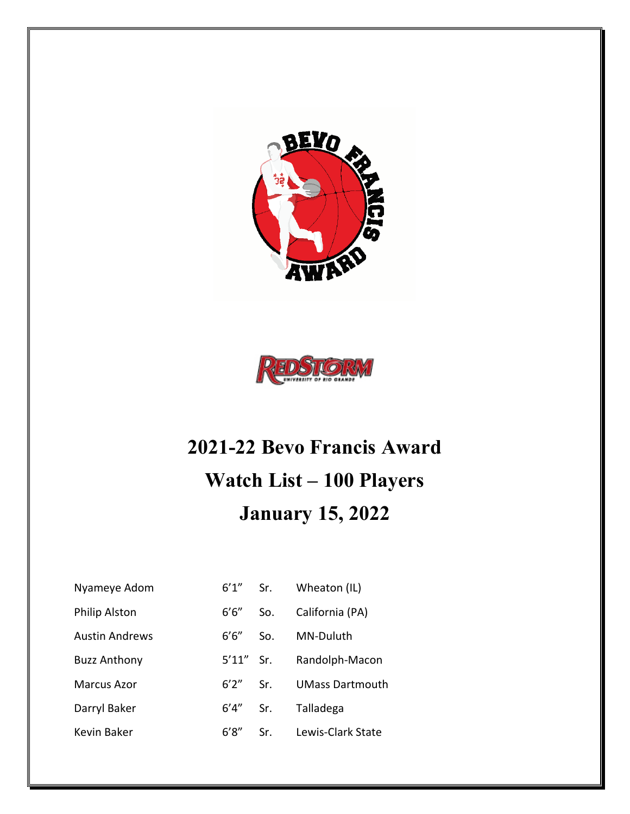



## **2021-22 Bevo Francis Award Watch List – 100 Players January 15, 2022**

| Nyameye Adom          | $6'1''$ Sr.  |     | Wheaton (IL)           |
|-----------------------|--------------|-----|------------------------|
| Philip Alston         | 6'6''        | So. | California (PA)        |
| <b>Austin Andrews</b> | 6'6"         | So. | MN-Duluth              |
| <b>Buzz Anthony</b>   | $5'11''$ Sr. |     | Randolph-Macon         |
| Marcus Azor           | $6'2''$ Sr.  |     | <b>UMass Dartmouth</b> |
| Darryl Baker          | 6′4″         | Sr. | Talladega              |
| Kevin Baker           | 6'8''        | Sr. | Lewis-Clark State      |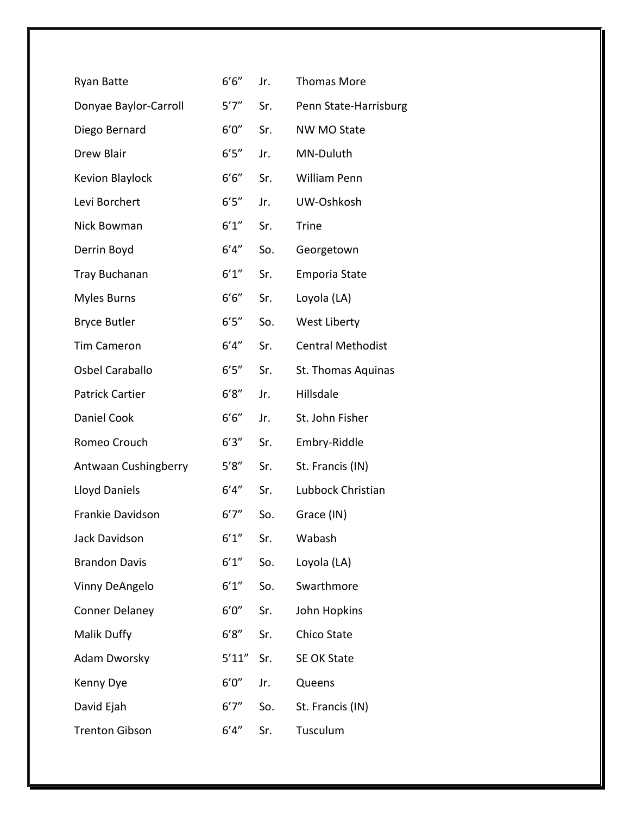| Ryan Batte             | 6'6''   | Jr. | <b>Thomas More</b>       |
|------------------------|---------|-----|--------------------------|
| Donyae Baylor-Carroll  | 5'7''   | Sr. | Penn State-Harrisburg    |
| Diego Bernard          | 6'0''   | Sr. | NW MO State              |
| <b>Drew Blair</b>      | 6'5''   | Jr. | MN-Duluth                |
| Kevion Blaylock        | $6'6''$ | Sr. | William Penn             |
| Levi Borchert          | 6'5''   | Jr. | UW-Oshkosh               |
| Nick Bowman            | 6'1''   | Sr. | <b>Trine</b>             |
| Derrin Boyd            | 6'4''   | So. | Georgetown               |
| <b>Tray Buchanan</b>   | 6'1''   | Sr. | <b>Emporia State</b>     |
| <b>Myles Burns</b>     | 6'6''   | Sr. | Loyola (LA)              |
| <b>Bryce Butler</b>    | 6'5''   | So. | West Liberty             |
| <b>Tim Cameron</b>     | 6'4''   | Sr. | <b>Central Methodist</b> |
| Osbel Caraballo        | 6'5''   | Sr. | St. Thomas Aquinas       |
| <b>Patrick Cartier</b> | 6'8''   | Jr. | Hillsdale                |
| Daniel Cook            | 6'6''   | Jr. | St. John Fisher          |
| Romeo Crouch           | 6'3''   | Sr. | Embry-Riddle             |
| Antwaan Cushingberry   | 5'8''   | Sr. | St. Francis (IN)         |
| <b>Lloyd Daniels</b>   | 6'4''   | Sr. | Lubbock Christian        |
| Frankie Davidson       | 6'7''   | So. | Grace (IN)               |
| Jack Davidson          | 6'1''   | Sr. | Wabash                   |
| <b>Brandon Davis</b>   | 6'1''   | So. | Loyola (LA)              |
| Vinny DeAngelo         | 6'1''   | So. | Swarthmore               |
| <b>Conner Delaney</b>  | 6'0''   | Sr. | John Hopkins             |
| Malik Duffy            | 6'8''   | Sr. | <b>Chico State</b>       |
| <b>Adam Dworsky</b>    | 5'11''  | Sr. | <b>SE OK State</b>       |
| Kenny Dye              | 6'0''   | Jr. | Queens                   |
| David Ejah             | 6'7''   | So. | St. Francis (IN)         |
| <b>Trenton Gibson</b>  | 6'4''   | Sr. | Tusculum                 |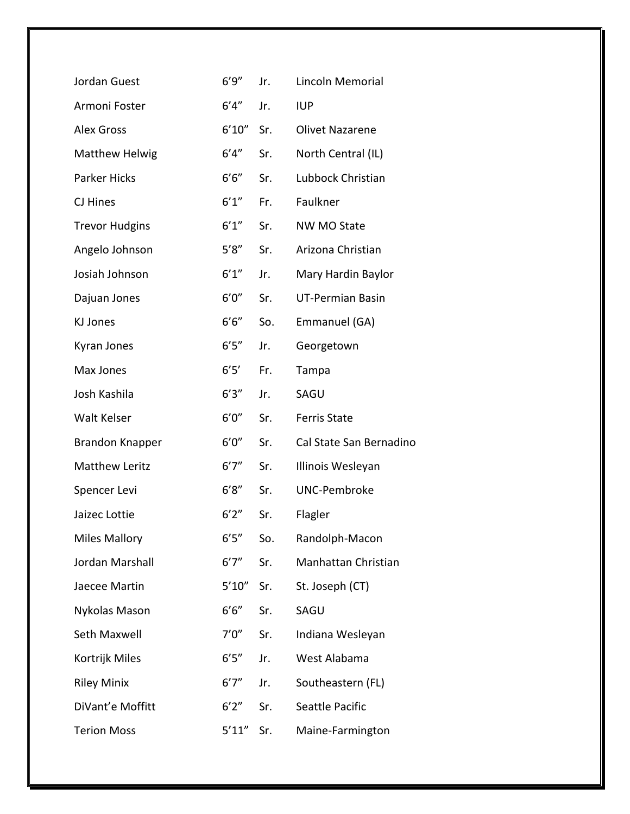| Jordan Guest           | 6'9''  | Jr. | Lincoln Memorial        |
|------------------------|--------|-----|-------------------------|
| Armoni Foster          | 6'4''  | Jr. | <b>IUP</b>              |
| <b>Alex Gross</b>      | 6'10'' | Sr. | <b>Olivet Nazarene</b>  |
| <b>Matthew Helwig</b>  | 6'4''  | Sr. | North Central (IL)      |
| Parker Hicks           | 6'6''  | Sr. | Lubbock Christian       |
| CJ Hines               | 6'1''  | Fr. | Faulkner                |
| <b>Trevor Hudgins</b>  | 6'1''  | Sr. | <b>NW MO State</b>      |
| Angelo Johnson         | 5'8''  | Sr. | Arizona Christian       |
| Josiah Johnson         | 6'1''  | Jr. | Mary Hardin Baylor      |
| Dajuan Jones           | 6'0''  | Sr. | <b>UT-Permian Basin</b> |
| KJ Jones               | 6'6''  | So. | Emmanuel (GA)           |
| Kyran Jones            | 6'5''  | Jr. | Georgetown              |
| Max Jones              | 6'5'   | Fr. | Tampa                   |
| Josh Kashila           | 6'3''  | Jr. | SAGU                    |
| <b>Walt Kelser</b>     | 6'0''  | Sr. | <b>Ferris State</b>     |
| <b>Brandon Knapper</b> | 6'0''  | Sr. | Cal State San Bernadino |
| <b>Matthew Leritz</b>  | 6'7''  | Sr. | Illinois Wesleyan       |
| Spencer Levi           | 6'8''  | Sr. | <b>UNC-Pembroke</b>     |
| Jaizec Lottie          | 6'2''  | Sr. | Flagler                 |
| <b>Miles Mallory</b>   | 6'5''  | So. | Randolph-Macon          |
| Jordan Marshall        | 6'7''  | Sr. | Manhattan Christian     |
| Jaecee Martin          | 5'10'' | Sr. | St. Joseph (CT)         |
| Nykolas Mason          | 6'6''  | Sr. | SAGU                    |
| Seth Maxwell           | 7'0''  | Sr. | Indiana Wesleyan        |
| Kortrijk Miles         | 6'5''  | Jr. | West Alabama            |
| <b>Riley Minix</b>     | 6'7''  | Jr. | Southeastern (FL)       |
| DiVant'e Moffitt       | 6'2''  | Sr. | Seattle Pacific         |
| <b>Terion Moss</b>     | 5'11'' | Sr. | Maine-Farmington        |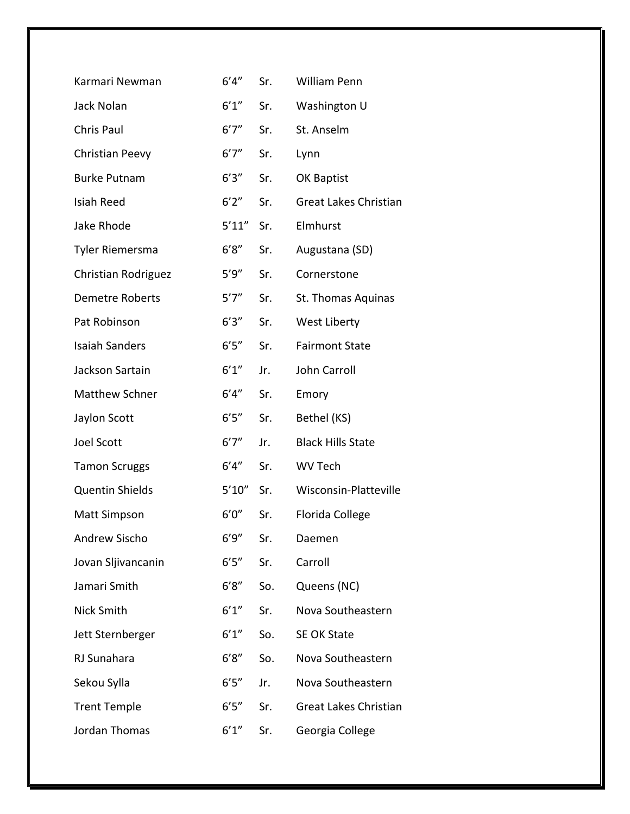| Karmari Newman         | 6'4''  | Sr. | <b>William Penn</b>          |
|------------------------|--------|-----|------------------------------|
| Jack Nolan             | 6'1''  | Sr. | Washington U                 |
| <b>Chris Paul</b>      | 6'7''  | Sr. | St. Anselm                   |
| Christian Peevy        | 6'7''  | Sr. | Lynn                         |
| <b>Burke Putnam</b>    | 6'3''  | Sr. | OK Baptist                   |
| Isiah Reed             | 6'2''  | Sr. | <b>Great Lakes Christian</b> |
| Jake Rhode             | 5'11'' | Sr. | Elmhurst                     |
| <b>Tyler Riemersma</b> | 6'8''  | Sr. | Augustana (SD)               |
| Christian Rodriguez    | 5'9''  | Sr. | Cornerstone                  |
| <b>Demetre Roberts</b> | 5'7''  | Sr. | St. Thomas Aquinas           |
| Pat Robinson           | 6'3''  | Sr. | West Liberty                 |
| <b>Isaiah Sanders</b>  | 6'5''  | Sr. | <b>Fairmont State</b>        |
| Jackson Sartain        | 6'1''  | Jr. | John Carroll                 |
| <b>Matthew Schner</b>  | 6'4''  | Sr. | Emory                        |
| Jaylon Scott           | 6'5''  | Sr. | Bethel (KS)                  |
| <b>Joel Scott</b>      | 6'7''  | Jr. | <b>Black Hills State</b>     |
| <b>Tamon Scruggs</b>   | 6'4''  | Sr. | <b>WV Tech</b>               |
| <b>Quentin Shields</b> | 5'10'' | Sr. | Wisconsin-Platteville        |
| <b>Matt Simpson</b>    | 6'0''  | Sr. | Florida College              |
| <b>Andrew Sischo</b>   | 6'9''  | Sr. | Daemen                       |
| Jovan Sljivancanin     | 6'5''  | Sr. | Carroll                      |
| Jamari Smith           | 6'8''  | So. | Queens (NC)                  |
| Nick Smith             | 6'1''  | Sr. | Nova Southeastern            |
| Jett Sternberger       | 6'1''  | So. | <b>SE OK State</b>           |
| RJ Sunahara            | 6'8''  | So. | Nova Southeastern            |
| Sekou Sylla            | 6'5''  | Jr. | Nova Southeastern            |
| <b>Trent Temple</b>    | 6'5''  | Sr. | Great Lakes Christian        |
| Jordan Thomas          | 6'1''  | Sr. | Georgia College              |